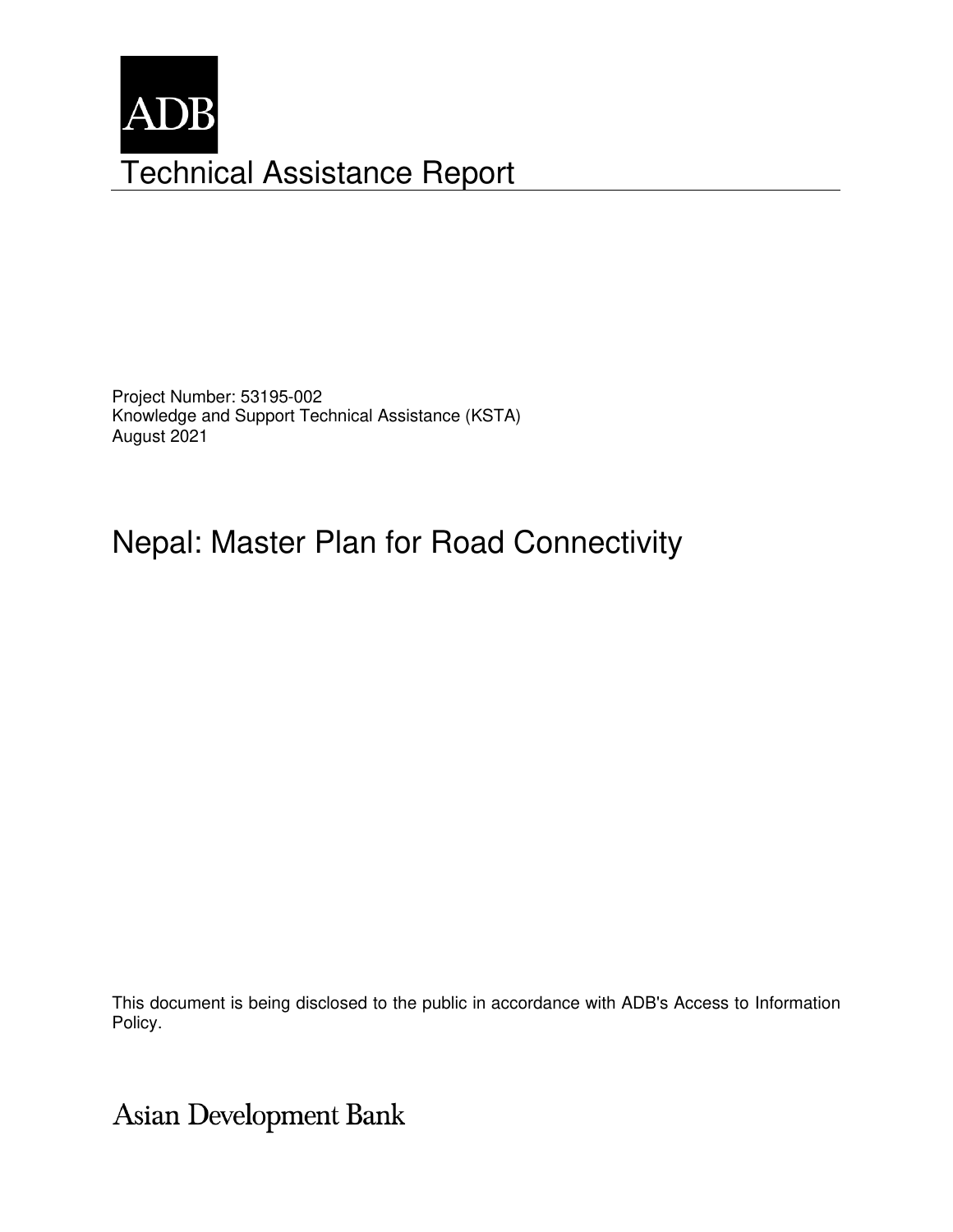

Project Number: 53195-002 Knowledge and Support Technical Assistance (KSTA) August 2021

# Nepal: Master Plan for Road Connectivity

This document is being disclosed to the public in accordance with ADB's Access to Information Policy.

**Asian Development Bank**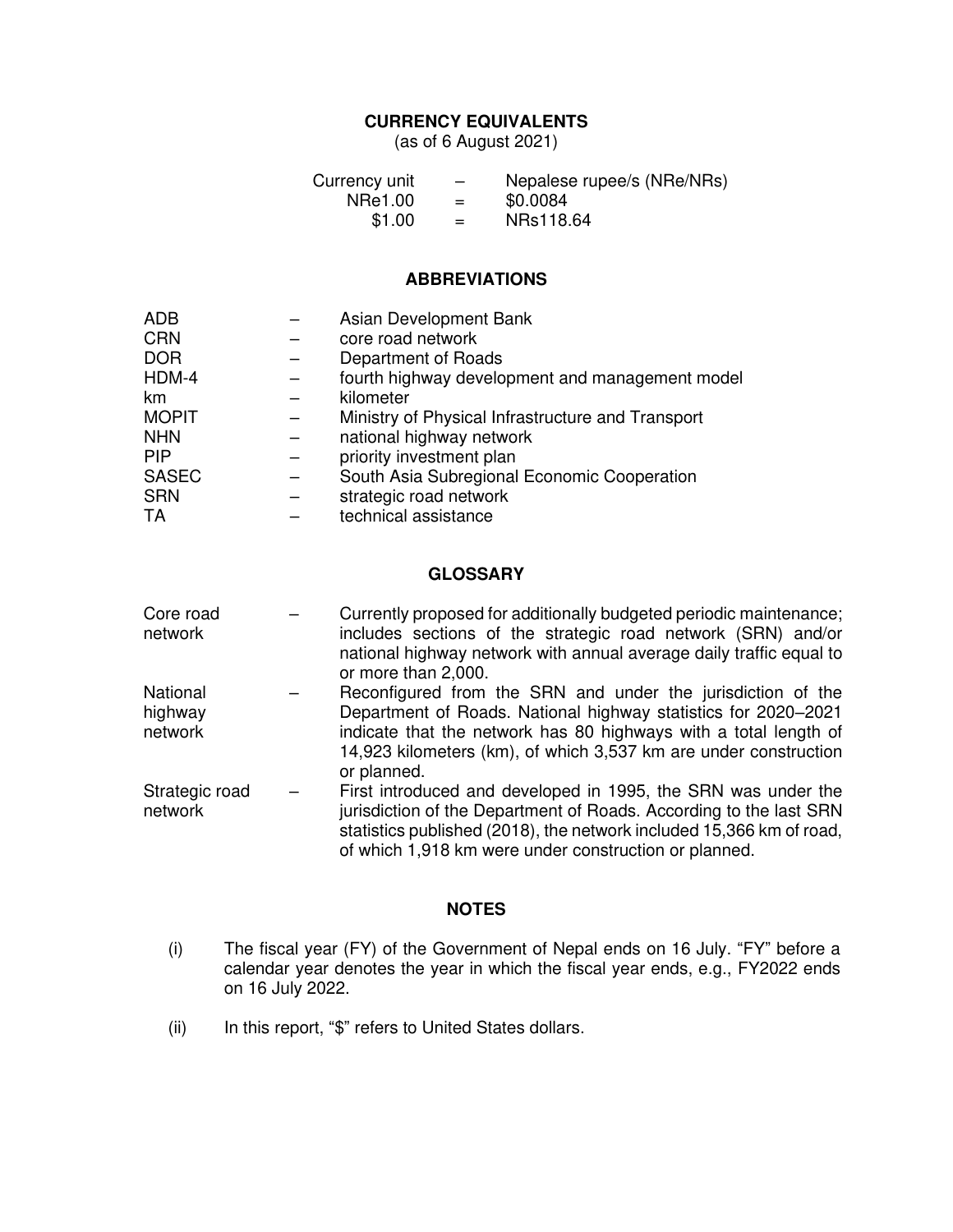## **CURRENCY EQUIVALENTS**

(as of 6 August 2021)

| Currency unit |     | Nepalese rupee/s (NRe/NRs) |
|---------------|-----|----------------------------|
| NRe1.00       | $=$ | \$0.0084                   |
| \$1.00        | $=$ | NRs118.64                  |

#### **ABBREVIATIONS**

| <b>ADB</b>   | Asian Development Bank                            |
|--------------|---------------------------------------------------|
| <b>CRN</b>   | core road network                                 |
| <b>DOR</b>   | Department of Roads                               |
| HDM-4        | fourth highway development and management model   |
| km           | kilometer                                         |
| <b>MOPIT</b> | Ministry of Physical Infrastructure and Transport |
| <b>NHN</b>   | national highway network                          |
| <b>PIP</b>   | priority investment plan                          |
| <b>SASEC</b> | South Asia Subregional Economic Cooperation       |
| <b>SRN</b>   | strategic road network                            |
| TA           | technical assistance                              |

## **GLOSSARY**

| Core road<br>network | Currently proposed for additionally budgeted periodic maintenance;<br>includes sections of the strategic road network (SRN) and/or<br>national highway network with annual average daily traffic equal to<br>or more than 2,000. |
|----------------------|----------------------------------------------------------------------------------------------------------------------------------------------------------------------------------------------------------------------------------|
| National             | Reconfigured from the SRN and under the jurisdiction of the                                                                                                                                                                      |
| highway              | Department of Roads. National highway statistics for 2020–2021                                                                                                                                                                   |
| network              | indicate that the network has 80 highways with a total length of                                                                                                                                                                 |
|                      | 14,923 kilometers (km), of which 3,537 km are under construction<br>or planned.                                                                                                                                                  |
| Strategic road       | First introduced and developed in 1995, the SRN was under the                                                                                                                                                                    |
| network              | jurisdiction of the Department of Roads. According to the last SRN                                                                                                                                                               |
|                      | statistics published (2018), the network included 15,366 km of road,                                                                                                                                                             |
|                      | of which 1,918 km were under construction or planned.                                                                                                                                                                            |

#### **NOTES**

- (i) The fiscal year (FY) of the Government of Nepal ends on 16 July. "FY" before a calendar year denotes the year in which the fiscal year ends, e.g., FY2022 ends on 16 July 2022.
- (ii) In this report, "\$" refers to United States dollars.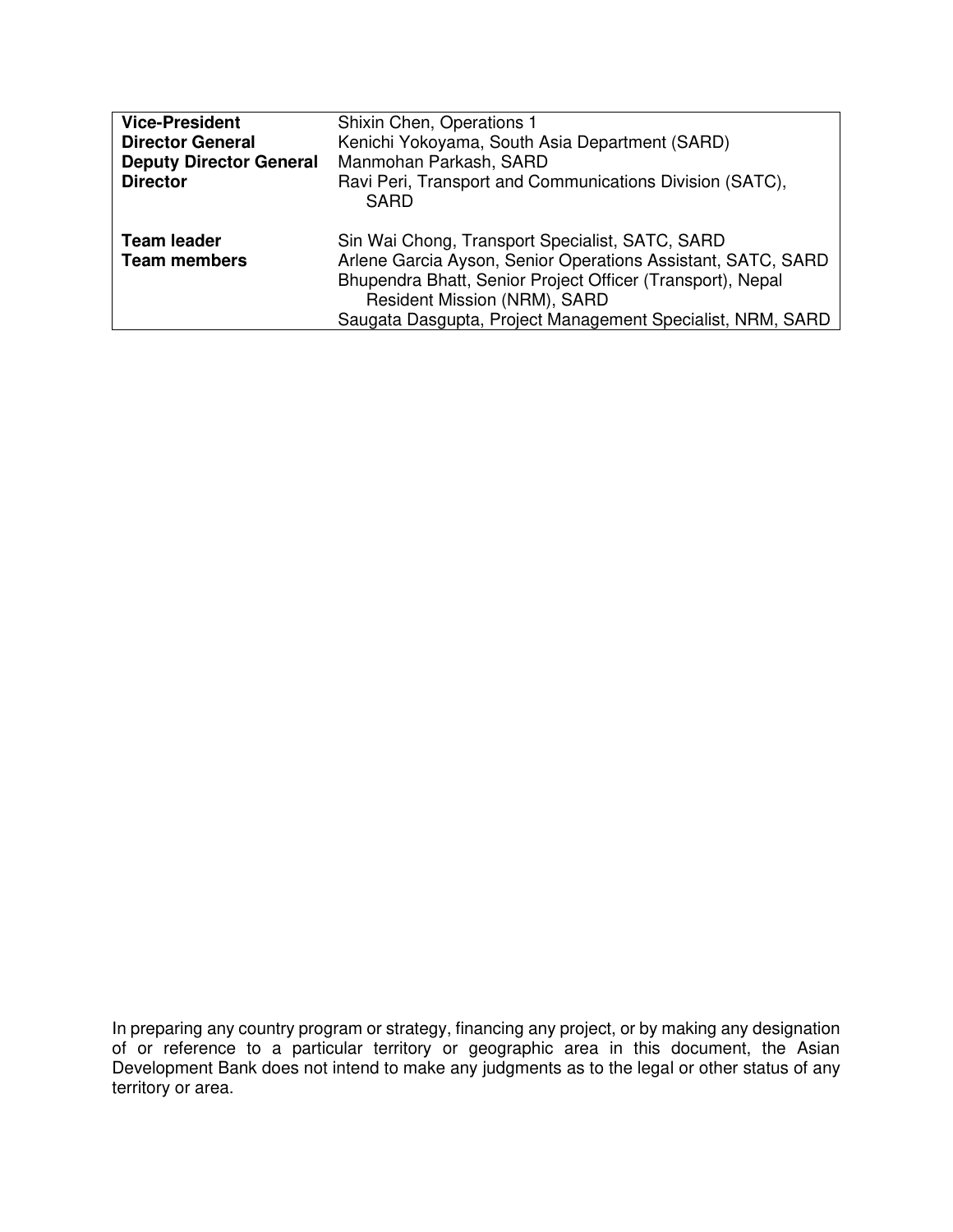| <b>Vice-President</b>          | Shixin Chen, Operations 1                                               |
|--------------------------------|-------------------------------------------------------------------------|
| <b>Director General</b>        | Kenichi Yokoyama, South Asia Department (SARD)                          |
| <b>Deputy Director General</b> | Manmohan Parkash, SARD                                                  |
| <b>Director</b>                | Ravi Peri, Transport and Communications Division (SATC),<br><b>SARD</b> |
| <b>Team leader</b>             | Sin Wai Chong, Transport Specialist, SATC, SARD                         |
| <b>Team members</b>            | Arlene Garcia Ayson, Senior Operations Assistant, SATC, SARD            |
|                                | Bhupendra Bhatt, Senior Project Officer (Transport), Nepal              |
|                                | Resident Mission (NRM), SARD                                            |
|                                | Saugata Dasgupta, Project Management Specialist, NRM, SARD              |

In preparing any country program or strategy, financing any project, or by making any designation of or reference to a particular territory or geographic area in this document, the Asian Development Bank does not intend to make any judgments as to the legal or other status of any territory or area.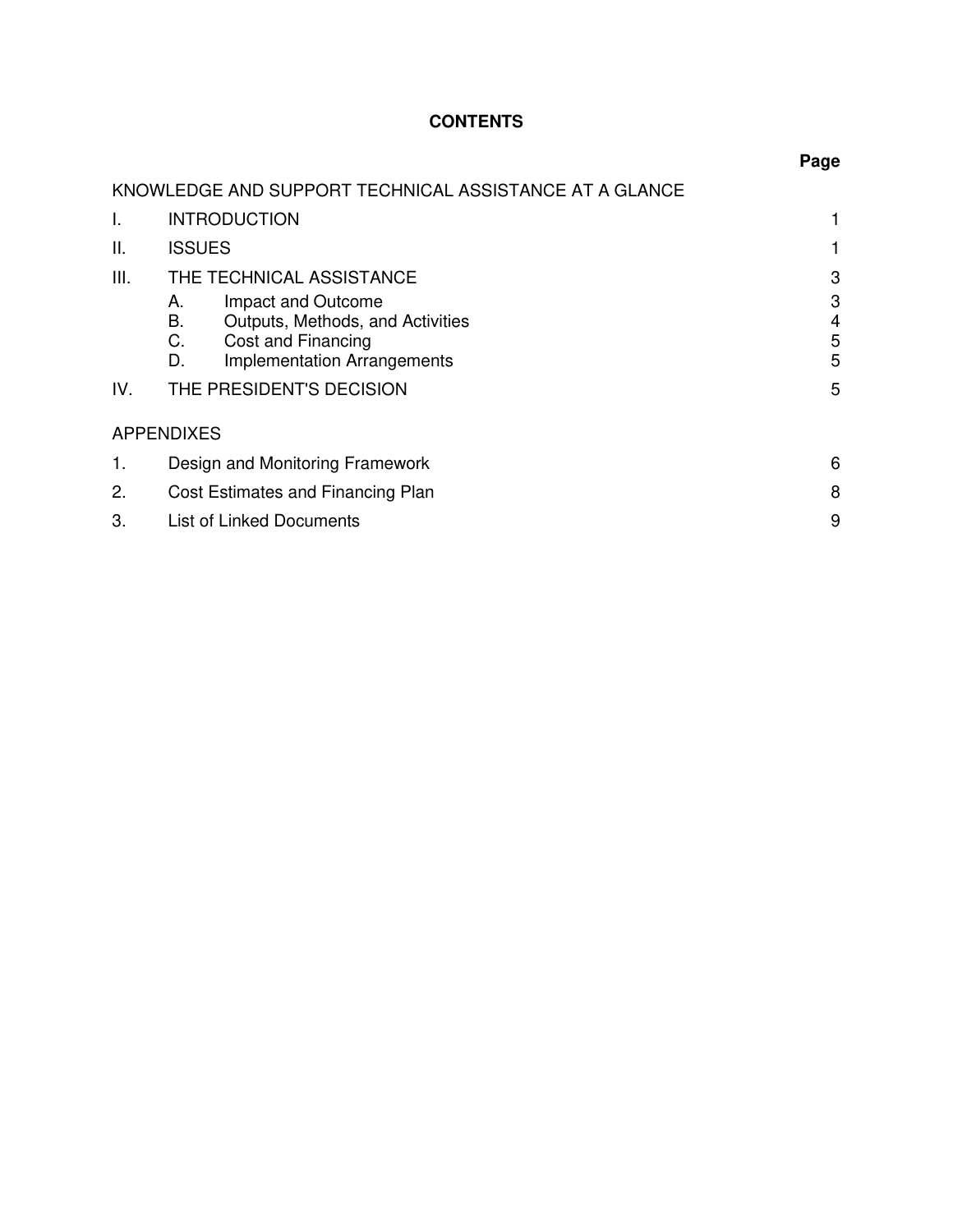# **CONTENTS**

|      |                                                                                                                                            | Page             |
|------|--------------------------------------------------------------------------------------------------------------------------------------------|------------------|
|      | KNOWLEDGE AND SUPPORT TECHNICAL ASSISTANCE AT A GLANCE                                                                                     |                  |
| I.   | <b>INTRODUCTION</b>                                                                                                                        |                  |
| Ш.   | <b>ISSUES</b>                                                                                                                              |                  |
| III. | THE TECHNICAL ASSISTANCE                                                                                                                   | 3                |
|      | Impact and Outcome<br>А.<br>В.<br>Outputs, Methods, and Activities<br>С.<br>Cost and Financing<br><b>Implementation Arrangements</b><br>D. | 3<br>4<br>5<br>5 |
| IV.  | THE PRESIDENT'S DECISION                                                                                                                   | 5                |
|      | <b>APPENDIXES</b>                                                                                                                          |                  |
| 1.   | Design and Monitoring Framework                                                                                                            | 6                |
| 2.   | Cost Estimates and Financing Plan                                                                                                          | 8                |
| 3.   | List of Linked Documents                                                                                                                   | 9                |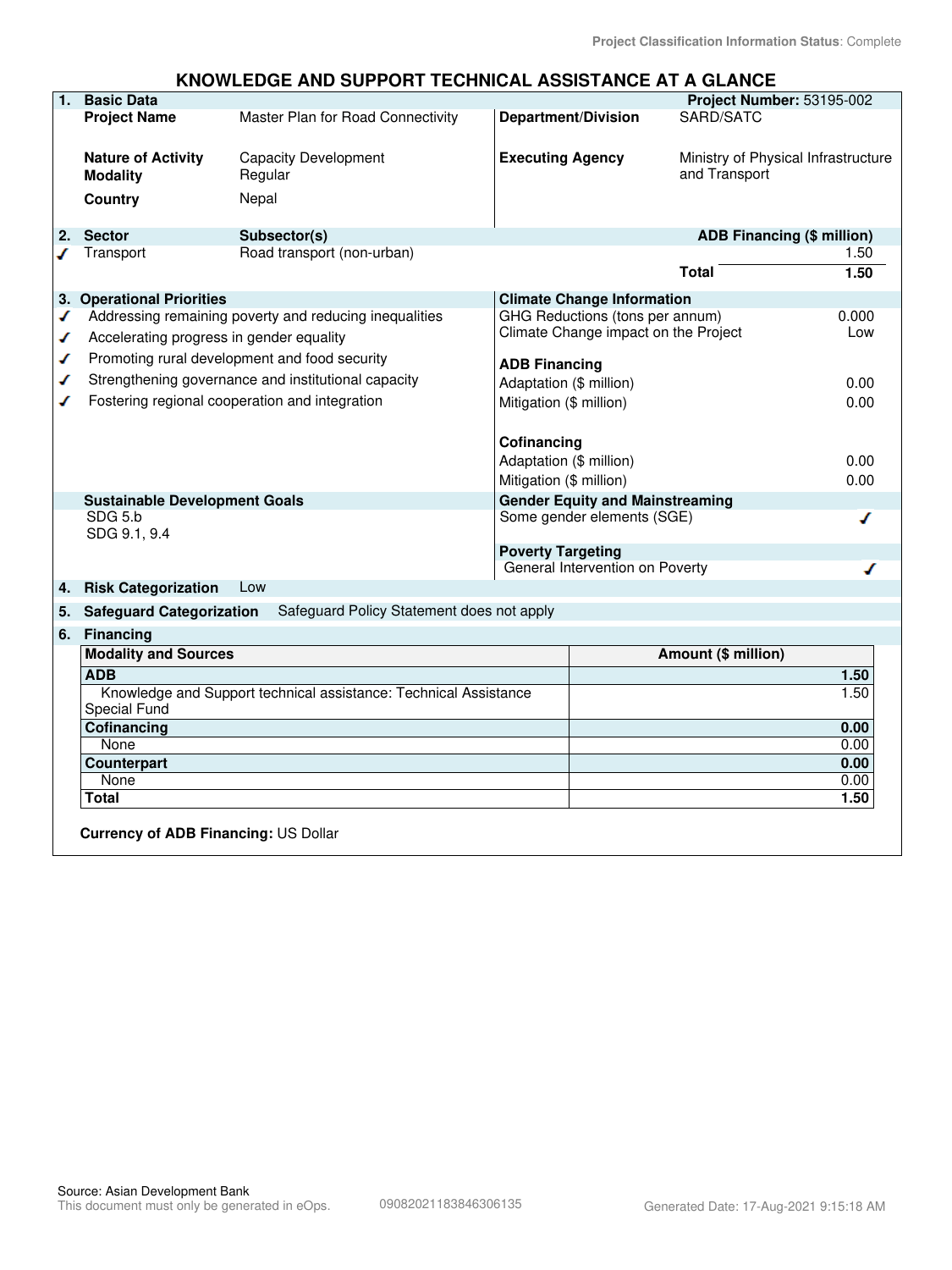### **KNOWLEDGE AND SUPPORT TECHNICAL ASSISTANCE AT A GLANCE**

| 1. | <b>Basic Data</b>                               |                                                                  |                          |                                                                      | Project Number: 53195-002                            |              |
|----|-------------------------------------------------|------------------------------------------------------------------|--------------------------|----------------------------------------------------------------------|------------------------------------------------------|--------------|
|    | <b>Project Name</b>                             | Master Plan for Road Connectivity                                |                          | <b>Department/Division</b>                                           | SARD/SATC                                            |              |
|    | <b>Nature of Activity</b><br><b>Modality</b>    | <b>Capacity Development</b><br>Regular                           | <b>Executing Agency</b>  |                                                                      | Ministry of Physical Infrastructure<br>and Transport |              |
|    | <b>Country</b>                                  | Nepal                                                            |                          |                                                                      |                                                      |              |
| 2. | <b>Sector</b>                                   | Subsector(s)                                                     |                          |                                                                      | <b>ADB Financing (\$ million)</b>                    |              |
|    | Transport                                       | Road transport (non-urban)                                       |                          |                                                                      |                                                      | 1.50         |
|    |                                                 |                                                                  |                          |                                                                      | <b>Total</b>                                         | 1.50         |
|    | 3. Operational Priorities                       |                                                                  |                          | <b>Climate Change Information</b>                                    |                                                      |              |
| ✔  |                                                 | Addressing remaining poverty and reducing inequalities           |                          | GHG Reductions (tons per annum)                                      |                                                      | 0.000        |
| ℐ  | Accelerating progress in gender equality        |                                                                  |                          | Climate Change impact on the Project                                 |                                                      | Low          |
| ✔  |                                                 | Promoting rural development and food security                    | <b>ADB Financing</b>     |                                                                      |                                                      |              |
| ✔  |                                                 | Strengthening governance and institutional capacity              | Adaptation (\$ million)  |                                                                      |                                                      | 0.00         |
| ℐ  |                                                 | Fostering regional cooperation and integration                   | Mitigation (\$ million)  |                                                                      |                                                      | 0.00         |
|    |                                                 |                                                                  |                          |                                                                      |                                                      |              |
|    |                                                 |                                                                  |                          |                                                                      |                                                      |              |
|    |                                                 |                                                                  | Cofinancing              |                                                                      |                                                      |              |
|    |                                                 |                                                                  | Adaptation (\$ million)  |                                                                      |                                                      | 0.00         |
|    |                                                 |                                                                  | Mitigation (\$ million)  |                                                                      |                                                      | 0.00         |
|    | <b>Sustainable Development Goals</b><br>SDG 5.b |                                                                  |                          | <b>Gender Equity and Mainstreaming</b><br>Some gender elements (SGE) |                                                      |              |
|    | SDG 9.1, 9.4                                    |                                                                  |                          |                                                                      |                                                      |              |
|    |                                                 |                                                                  | <b>Poverty Targeting</b> |                                                                      |                                                      |              |
|    |                                                 |                                                                  |                          | General Intervention on Poverty                                      |                                                      |              |
| 4. | <b>Risk Categorization</b>                      | Low                                                              |                          |                                                                      |                                                      |              |
| 5. | <b>Safeguard Categorization</b>                 | Safeguard Policy Statement does not apply                        |                          |                                                                      |                                                      |              |
|    | 6. Financing                                    |                                                                  |                          |                                                                      |                                                      |              |
|    | <b>Modality and Sources</b>                     |                                                                  |                          |                                                                      | Amount (\$ million)                                  |              |
|    | <b>ADB</b>                                      |                                                                  |                          |                                                                      |                                                      | 1.50         |
|    |                                                 | Knowledge and Support technical assistance: Technical Assistance |                          |                                                                      |                                                      | 1.50         |
|    | <b>Special Fund</b>                             |                                                                  |                          |                                                                      |                                                      |              |
|    | <b>Cofinancing</b>                              |                                                                  |                          |                                                                      |                                                      | 0.00         |
|    | None                                            |                                                                  |                          |                                                                      |                                                      | 0.00         |
|    | Counterpart<br>None                             |                                                                  |                          |                                                                      |                                                      | 0.00<br>0.00 |
|    | <b>Total</b>                                    |                                                                  |                          |                                                                      |                                                      | 1.50         |
|    |                                                 |                                                                  |                          |                                                                      |                                                      |              |
|    | <b>Currency of ADB Financing: US Dollar</b>     |                                                                  |                          |                                                                      |                                                      |              |
|    |                                                 |                                                                  |                          |                                                                      |                                                      |              |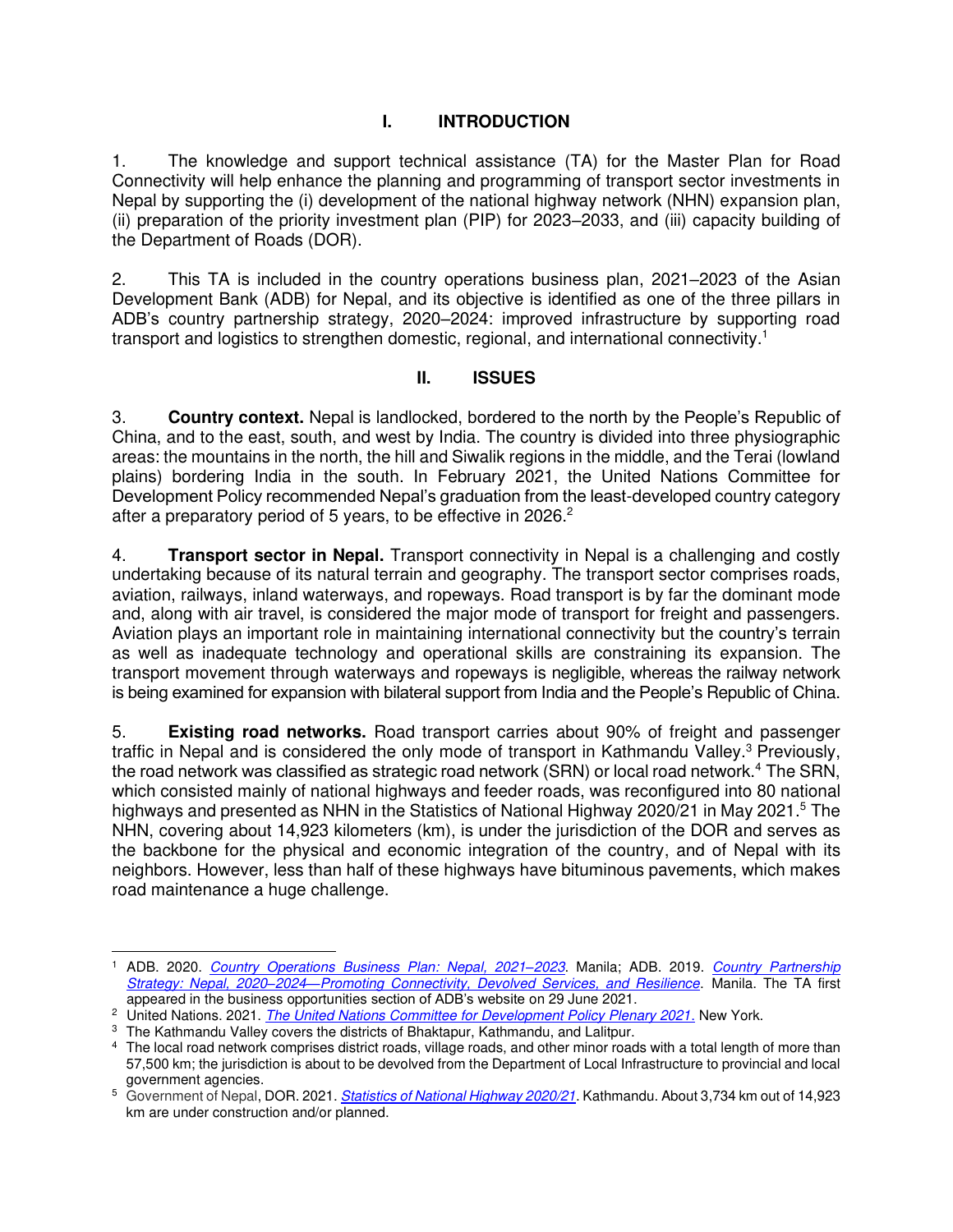## **I. INTRODUCTION**

1. The knowledge and support technical assistance (TA) for the Master Plan for Road Connectivity will help enhance the planning and programming of transport sector investments in Nepal by supporting the (i) development of the national highway network (NHN) expansion plan, (ii) preparation of the priority investment plan (PIP) for 2023–2033, and (iii) capacity building of the Department of Roads (DOR).

2. This TA is included in the country operations business plan, 2021–2023 of the Asian Development Bank (ADB) for Nepal, and its objective is identified as one of the three pillars in ADB's country partnership strategy, 2020–2024: improved infrastructure by supporting road transport and logistics to strengthen domestic, regional, and international connectivity.<sup>1</sup>

## **II. ISSUES**

3. **Country context.** Nepal is landlocked, bordered to the north by the People's Republic of China, and to the east, south, and west by India. The country is divided into three physiographic areas: the mountains in the north, the hill and Siwalik regions in the middle, and the Terai (lowland plains) bordering India in the south. In February 2021, the United Nations Committee for Development Policy recommended Nepal's graduation from the least-developed country category after a preparatory period of 5 years, to be effective in 2026.<sup>2</sup>

4. **Transport sector in Nepal.** Transport connectivity in Nepal is a challenging and costly undertaking because of its natural terrain and geography. The transport sector comprises roads, aviation, railways, inland waterways, and ropeways. Road transport is by far the dominant mode and, along with air travel, is considered the major mode of transport for freight and passengers. Aviation plays an important role in maintaining international connectivity but the country's terrain as well as inadequate technology and operational skills are constraining its expansion. The transport movement through waterways and ropeways is negligible, whereas the railway network is being examined for expansion with bilateral support from India and the People's Republic of China.

5. **Existing road networks.** Road transport carries about 90% of freight and passenger traffic in Nepal and is considered the only mode of transport in Kathmandu Valley.<sup>3</sup> Previously, the road network was classified as strategic road network (SRN) or local road network.<sup>4</sup> The SRN, which consisted mainly of national highways and feeder roads, was reconfigured into 80 national highways and presented as NHN in the Statistics of National Highway 2020/21 in May 2021.<sup>5</sup> The NHN, covering about 14,923 kilometers (km), is under the jurisdiction of the DOR and serves as the backbone for the physical and economic integration of the country, and of Nepal with its neighbors. However, less than half of these highways have bituminous pavements, which makes road maintenance a huge challenge.

<sup>1</sup> ADB. 2020. *[Country Operations Business Plan: Nepal, 2021](https://www.adb.org/sites/default/files/institutional-document/633966/cobp-nep-2021-2023.pdf)–2023*. Manila; ADB. 2019. *[Country Partnership](https://www.adb.org/sites/default/files/institutional-document/531716/cps-nep-2020-2024.pdf)  Strategy: Nepal, 2020–2024—[Promoting Connectivity, Devolved Services, and Resilience](https://www.adb.org/sites/default/files/institutional-document/531716/cps-nep-2020-2024.pdf)*. Manila. The TA first appeared in the business opportunities section of ADB's website on 29 June 2021.

<sup>2</sup> United Nations. 2021. *[The United Nations Committee for Development Policy Plenary 2021](https://www.un.org/development/desa/dpad/publication/cdp-plenary-2021/)*. New York.

<sup>&</sup>lt;sup>3</sup> The Kathmandu Valley covers the districts of Bhaktapur, Kathmandu, and Lalitpur.

<sup>&</sup>lt;sup>4</sup> The local road network comprises district roads, village roads, and other minor roads with a total length of more than 57,500 km; the jurisdiction is about to be devolved from the Department of Local Infrastructure to provincial and local government agencies.

<sup>5</sup> Government of Nepal, DOR. 2021. *[Statistics of National Highway 2020/21](https://dor.gov.np/home/page/statistics-of-national-highway-snh-2020-21-home)*. Kathmandu. About 3,734 km out of 14,923 km are under construction and/or planned.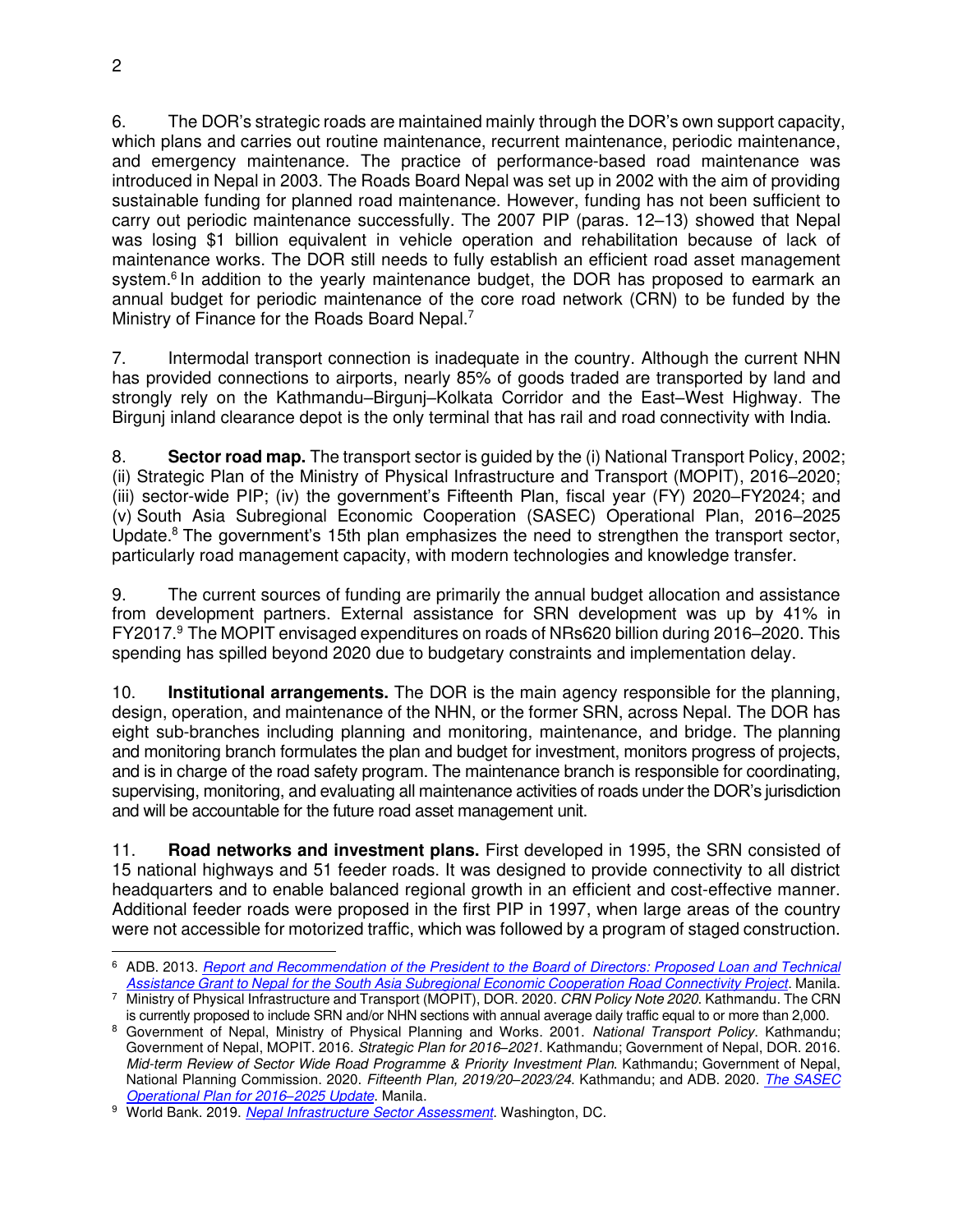6. The DOR's strategic roads are maintained mainly through the DOR's own support capacity, which plans and carries out routine maintenance, recurrent maintenance, periodic maintenance, and emergency maintenance. The practice of performance-based road maintenance was introduced in Nepal in 2003. The Roads Board Nepal was set up in 2002 with the aim of providing sustainable funding for planned road maintenance. However, funding has not been sufficient to carry out periodic maintenance successfully. The 2007 PIP (paras. 12–13) showed that Nepal was losing \$1 billion equivalent in vehicle operation and rehabilitation because of lack of maintenance works. The DOR still needs to fully establish an efficient road asset management system.<sup>6</sup> In addition to the yearly maintenance budget, the DOR has proposed to earmark an annual budget for periodic maintenance of the core road network (CRN) to be funded by the Ministry of Finance for the Roads Board Nepal.<sup>7</sup>

7. Intermodal transport connection is inadequate in the country. Although the current NHN has provided connections to airports, nearly 85% of goods traded are transported by land and strongly rely on the Kathmandu–Birgunj–Kolkata Corridor and the East–West Highway. The Birgunj inland clearance depot is the only terminal that has rail and road connectivity with India.

8. **Sector road map.** The transport sector is guided by the (i) National Transport Policy, 2002; (ii) Strategic Plan of the Ministry of Physical Infrastructure and Transport (MOPIT), 2016–2020; (iii) sector-wide PIP; (iv) the government's Fifteenth Plan, fiscal year (FY) 2020–FY2024; and (v) South Asia Subregional Economic Cooperation (SASEC) Operational Plan, 2016–2025 Update. $8$  The government's 15th plan emphasizes the need to strengthen the transport sector, particularly road management capacity, with modern technologies and knowledge transfer.

9. The current sources of funding are primarily the annual budget allocation and assistance from development partners. External assistance for SRN development was up by 41% in FY2017.<sup>9</sup> The MOPIT envisaged expenditures on roads of NRs620 billion during 2016–2020. This spending has spilled beyond 2020 due to budgetary constraints and implementation delay.

10. **Institutional arrangements.** The DOR is the main agency responsible for the planning, design, operation, and maintenance of the NHN, or the former SRN, across Nepal. The DOR has eight sub-branches including planning and monitoring, maintenance, and bridge. The planning and monitoring branch formulates the plan and budget for investment, monitors progress of projects, and is in charge of the road safety program. The maintenance branch is responsible for coordinating, supervising, monitoring, and evaluating all maintenance activities of roads under the DOR's jurisdiction and will be accountable for the future road asset management unit.

11. **Road networks and investment plans.** First developed in 1995, the SRN consisted of 15 national highways and 51 feeder roads. It was designed to provide connectivity to all district headquarters and to enable balanced regional growth in an efficient and cost-effective manner. Additional feeder roads were proposed in the first PIP in 1997, when large areas of the country were not accessible for motorized traffic, which was followed by a program of staged construction.

<sup>&</sup>lt;sup>6</sup> ADB. 2013. *Report and Recommendation of the President to the Board of Directors: Proposed Loan and Technical [Assistance Grant to Nepal for the South Asia Subregional Economic Cooperation Road Connectivity Project](https://www.adb.org/sites/default/files/project-document/77556/38350-013-nep-rrp.pdf)*. Manila.

<sup>7</sup> Ministry of Physical Infrastructure and Transport (MOPIT), DOR. 2020. *CRN Policy Note 2020*. Kathmandu. The CRN is currently proposed to include SRN and/or NHN sections with annual average daily traffic equal to or more than 2,000.

<sup>8</sup> Government of Nepal, Ministry of Physical Planning and Works. 2001. *National Transport Policy*. Kathmandu; Government of Nepal, MOPIT. 2016. *Strategic Plan for 2016–2021*. Kathmandu; Government of Nepal, DOR. 2016. *Mid-term Review of Sector Wide Road Programme & Priority Investment Plan*. Kathmandu; Government of Nepal, National Planning Commission. 2020. *Fifteenth Plan, 2019/20–2023/24*. Kathmandu; and ADB. 2020. *[The SASEC](https://www.adb.org/documents/sasec-operational-plan-2016-2025-update)  [Operational Plan for 2016](https://www.adb.org/documents/sasec-operational-plan-2016-2025-update)–2025 Update*. Manila.

<sup>9</sup> World Bank. 2019. *[Nepal Infrastructure Sector Assessment](https://openknowledge.worldbank.org/bitstream/handle/10986/32355/134956.pdf?sequence=1&isAllowed=y)*. Washington, DC.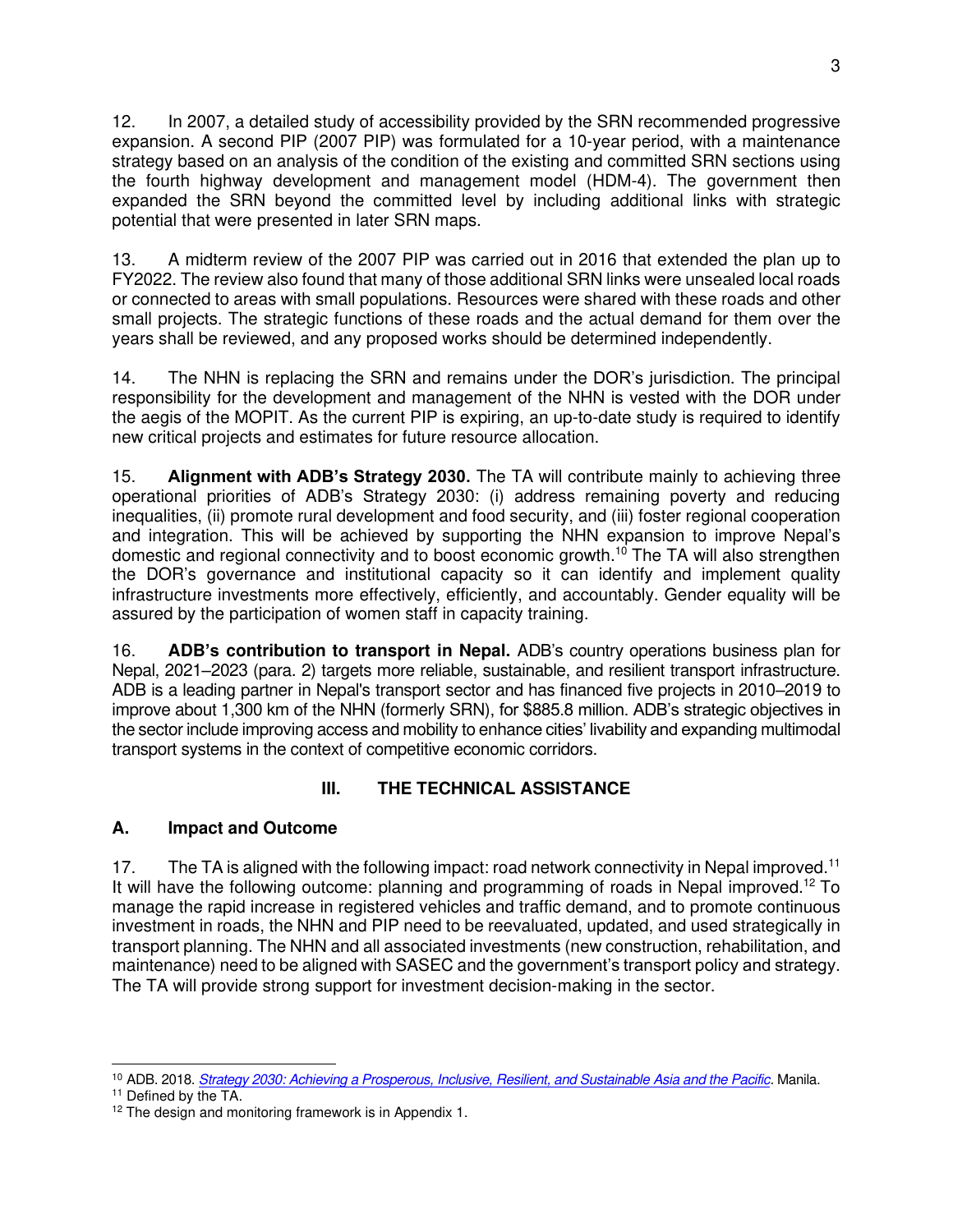12. In 2007, a detailed study of accessibility provided by the SRN recommended progressive expansion. A second PIP (2007 PIP) was formulated for a 10-year period, with a maintenance strategy based on an analysis of the condition of the existing and committed SRN sections using the fourth highway development and management model (HDM-4). The government then expanded the SRN beyond the committed level by including additional links with strategic potential that were presented in later SRN maps.

13. A midterm review of the 2007 PIP was carried out in 2016 that extended the plan up to FY2022. The review also found that many of those additional SRN links were unsealed local roads or connected to areas with small populations. Resources were shared with these roads and other small projects. The strategic functions of these roads and the actual demand for them over the years shall be reviewed, and any proposed works should be determined independently.

14. The NHN is replacing the SRN and remains under the DOR's jurisdiction. The principal responsibility for the development and management of the NHN is vested with the DOR under the aegis of the MOPIT. As the current PIP is expiring, an up-to-date study is required to identify new critical projects and estimates for future resource allocation.

15. **Alignment with ADB's Strategy 2030.** The TA will contribute mainly to achieving three operational priorities of ADB's Strategy 2030: (i) address remaining poverty and reducing inequalities, (ii) promote rural development and food security, and (iii) foster regional cooperation and integration. This will be achieved by supporting the NHN expansion to improve Nepal's domestic and regional connectivity and to boost economic growth.<sup>10</sup> The TA will also strengthen the DOR's governance and institutional capacity so it can identify and implement quality infrastructure investments more effectively, efficiently, and accountably. Gender equality will be assured by the participation of women staff in capacity training.

16. **ADB's contribution to transport in Nepal.** ADB's country operations business plan for Nepal, 2021–2023 (para. 2) targets more reliable, sustainable, and resilient transport infrastructure. ADB is a leading partner in Nepal's transport sector and has financed five projects in 2010–2019 to improve about 1,300 km of the NHN (formerly SRN), for \$885.8 million. ADB's strategic objectives in the sector include improving access and mobility to enhance cities' livability and expanding multimodal transport systems in the context of competitive economic corridors.

# **III. THE TECHNICAL ASSISTANCE**

# **A. Impact and Outcome**

17. The TA is aligned with the following impact: road network connectivity in Nepal improved.<sup>11</sup> It will have the following outcome: planning and programming of roads in Nepal improved.<sup>12</sup> To manage the rapid increase in registered vehicles and traffic demand, and to promote continuous investment in roads, the NHN and PIP need to be reevaluated, updated, and used strategically in transport planning. The NHN and all associated investments (new construction, rehabilitation, and maintenance) need to be aligned with SASEC and the government's transport policy and strategy. The TA will provide strong support for investment decision-making in the sector.

<sup>10</sup> ADB. 2018. *[Strategy 2030: Achieving a Prosperous, Inclusive, Resilient, and Sustainable Asia and the Pacific.](https://www.adb.org/sites/default/files/institutional-document/435391/strategy-2030-main-document.pdf)* Manila.

<sup>&</sup>lt;sup>11</sup> Defined by the TA.

<sup>&</sup>lt;sup>12</sup> The design and monitoring framework is in Appendix 1.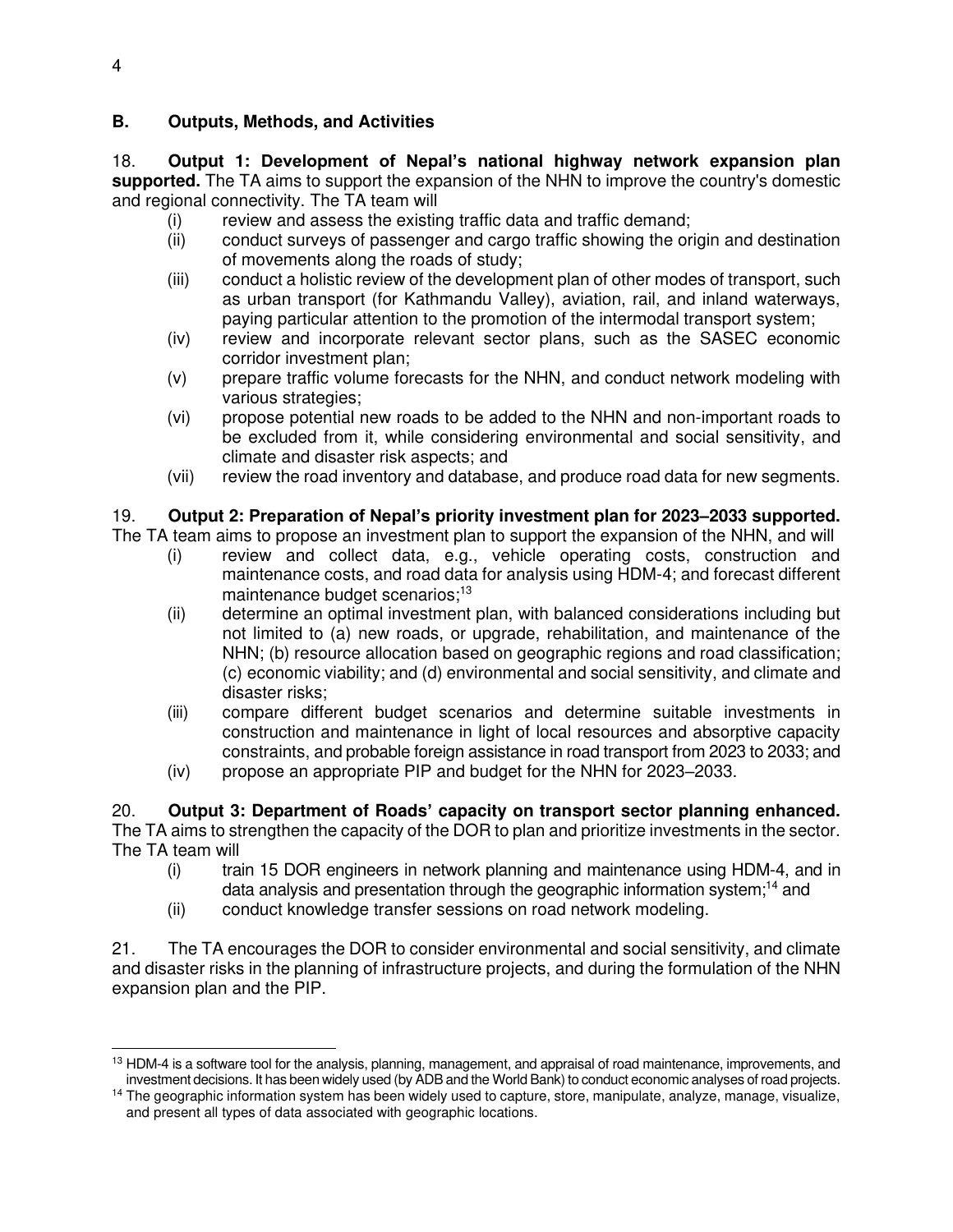## **B. Outputs, Methods, and Activities**

18. **Output 1: Development of Nepal's national highway network expansion plan supported.** The TA aims to support the expansion of the NHN to improve the country's domestic and regional connectivity. The TA team will

- (i) review and assess the existing traffic data and traffic demand;
- (ii) conduct surveys of passenger and cargo traffic showing the origin and destination of movements along the roads of study;
- (iii) conduct a holistic review of the development plan of other modes of transport, such as urban transport (for Kathmandu Valley), aviation, rail, and inland waterways, paying particular attention to the promotion of the intermodal transport system;
- (iv) review and incorporate relevant sector plans, such as the SASEC economic corridor investment plan;
- (v) prepare traffic volume forecasts for the NHN, and conduct network modeling with various strategies;
- (vi) propose potential new roads to be added to the NHN and non-important roads to be excluded from it, while considering environmental and social sensitivity, and climate and disaster risk aspects; and
- (vii) review the road inventory and database, and produce road data for new segments.

## 19. **Output 2: Preparation of Nepal's priority investment plan for 2023–2033 supported.**

The TA team aims to propose an investment plan to support the expansion of the NHN, and will

- (i) review and collect data, e.g., vehicle operating costs, construction and maintenance costs, and road data for analysis using HDM-4; and forecast different maintenance budget scenarios;<sup>13</sup>
- (ii) determine an optimal investment plan, with balanced considerations including but not limited to (a) new roads, or upgrade, rehabilitation, and maintenance of the NHN; (b) resource allocation based on geographic regions and road classification; (c) economic viability; and (d) environmental and social sensitivity, and climate and disaster risks;
- (iii) compare different budget scenarios and determine suitable investments in construction and maintenance in light of local resources and absorptive capacity constraints, and probable foreign assistance in road transport from 2023 to 2033; and
- (iv) propose an appropriate PIP and budget for the NHN for 2023–2033.

20. **Output 3: Department of Roads' capacity on transport sector planning enhanced.**  The TA aims to strengthen the capacity of the DOR to plan and prioritize investments in the sector. The TA team will

- (i) train 15 DOR engineers in network planning and maintenance using HDM-4, and in data analysis and presentation through the geographic information system;<sup>14</sup> and
- (ii) conduct knowledge transfer sessions on road network modeling.

21. The TA encourages the DOR to consider environmental and social sensitivity, and climate and disaster risks in the planning of infrastructure projects, and during the formulation of the NHN expansion plan and the PIP.

 $13$  HDM-4 is a software tool for the analysis, planning, management, and appraisal of road maintenance, improvements, and investment decisions. It has been widely used (by ADB and the World Bank) to conduct economic analyses of road projects.

<sup>14</sup> The geographic information system has been widely used to capture, store, manipulate, analyze, manage, visualize, and present all types of data associated with geographic locations.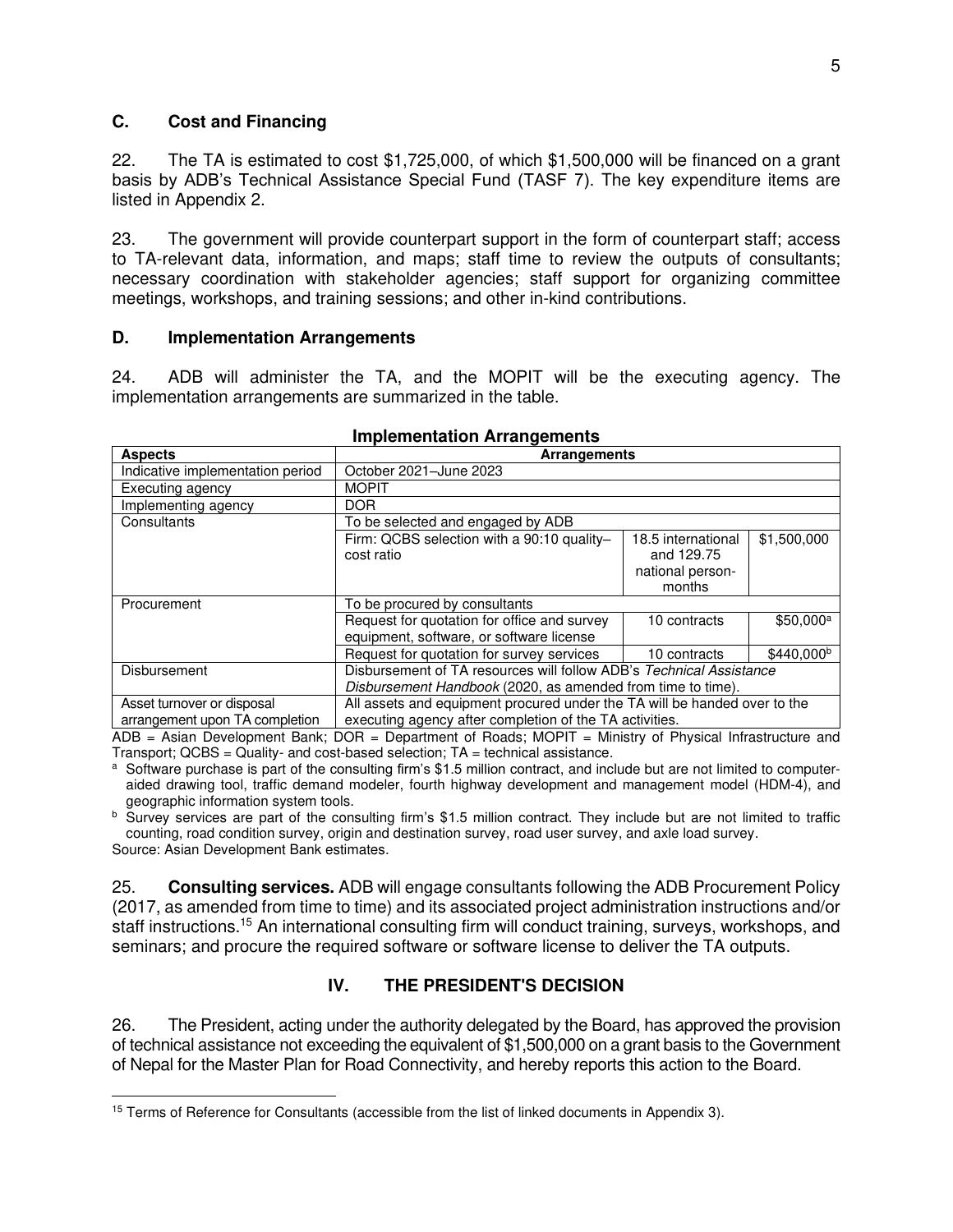## **C. Cost and Financing**

22. The TA is estimated to cost \$1,725,000, of which \$1,500,000 will be financed on a grant basis by ADB's Technical Assistance Special Fund (TASF 7). The key expenditure items are listed in Appendix 2.

23. The government will provide counterpart support in the form of counterpart staff; access to TA-relevant data, information, and maps; staff time to review the outputs of consultants; necessary coordination with stakeholder agencies; staff support for organizing committee meetings, workshops, and training sessions; and other in-kind contributions.

### **D. Implementation Arrangements**

24. ADB will administer the TA, and the MOPIT will be the executing agency. The implementation arrangements are summarized in the table.

| <b>Aspects</b>                                               | <b>Arrangements</b>                                                                                                                  |                                                                |                        |
|--------------------------------------------------------------|--------------------------------------------------------------------------------------------------------------------------------------|----------------------------------------------------------------|------------------------|
| Indicative implementation period                             | October 2021-June 2023                                                                                                               |                                                                |                        |
| Executing agency                                             | <b>MOPIT</b>                                                                                                                         |                                                                |                        |
| Implementing agency                                          | DOR.                                                                                                                                 |                                                                |                        |
| Consultants                                                  | To be selected and engaged by ADB                                                                                                    |                                                                |                        |
|                                                              | Firm: QCBS selection with a 90:10 quality-<br>cost ratio                                                                             | 18.5 international<br>and 129.75<br>national person-<br>months | \$1,500,000            |
| Procurement                                                  | To be procured by consultants                                                                                                        |                                                                |                        |
|                                                              | Request for quotation for office and survey<br>equipment, software, or software license                                              | 10 contracts                                                   | \$50,000 <sup>a</sup>  |
|                                                              | Request for quotation for survey services                                                                                            | 10 contracts                                                   | \$440.000 <sup>b</sup> |
| <b>Disbursement</b>                                          | Disbursement of TA resources will follow ADB's Technical Assistance<br>Disbursement Handbook (2020, as amended from time to time).   |                                                                |                        |
| Asset turnover or disposal<br>arrangement upon TA completion | All assets and equipment procured under the TA will be handed over to the<br>executing agency after completion of the TA activities. |                                                                |                        |

#### **Implementation Arrangements**

ADB = Asian Development Bank; DOR = Department of Roads; MOPIT = Ministry of Physical Infrastructure and Transport; QCBS = Quality- and cost-based selection; TA = technical assistance.

a Software purchase is part of the consulting firm's \$1.5 million contract, and include but are not limited to computeraided drawing tool, traffic demand modeler, fourth highway development and management model (HDM-4), and geographic information system tools.

b Survey services are part of the consulting firm's \$1.5 million contract. They include but are not limited to traffic counting, road condition survey, origin and destination survey, road user survey, and axle load survey. Source: Asian Development Bank estimates.

25. **Consulting services.** ADB will engage consultants following the ADB Procurement Policy (2017, as amended from time to time) and its associated project administration instructions and/or staff instructions.<sup>15</sup> An international consulting firm will conduct training, surveys, workshops, and seminars; and procure the required software or software license to deliver the TA outputs.

## **IV. THE PRESIDENT'S DECISION**

26. The President, acting under the authority delegated by the Board, has approved the provision of technical assistance not exceeding the equivalent of \$1,500,000 on a grant basis to the Government of Nepal for the Master Plan for Road Connectivity, and hereby reports this action to the Board.

<sup>&</sup>lt;sup>15</sup> Terms of Reference for Consultants (accessible from the list of linked documents in Appendix 3).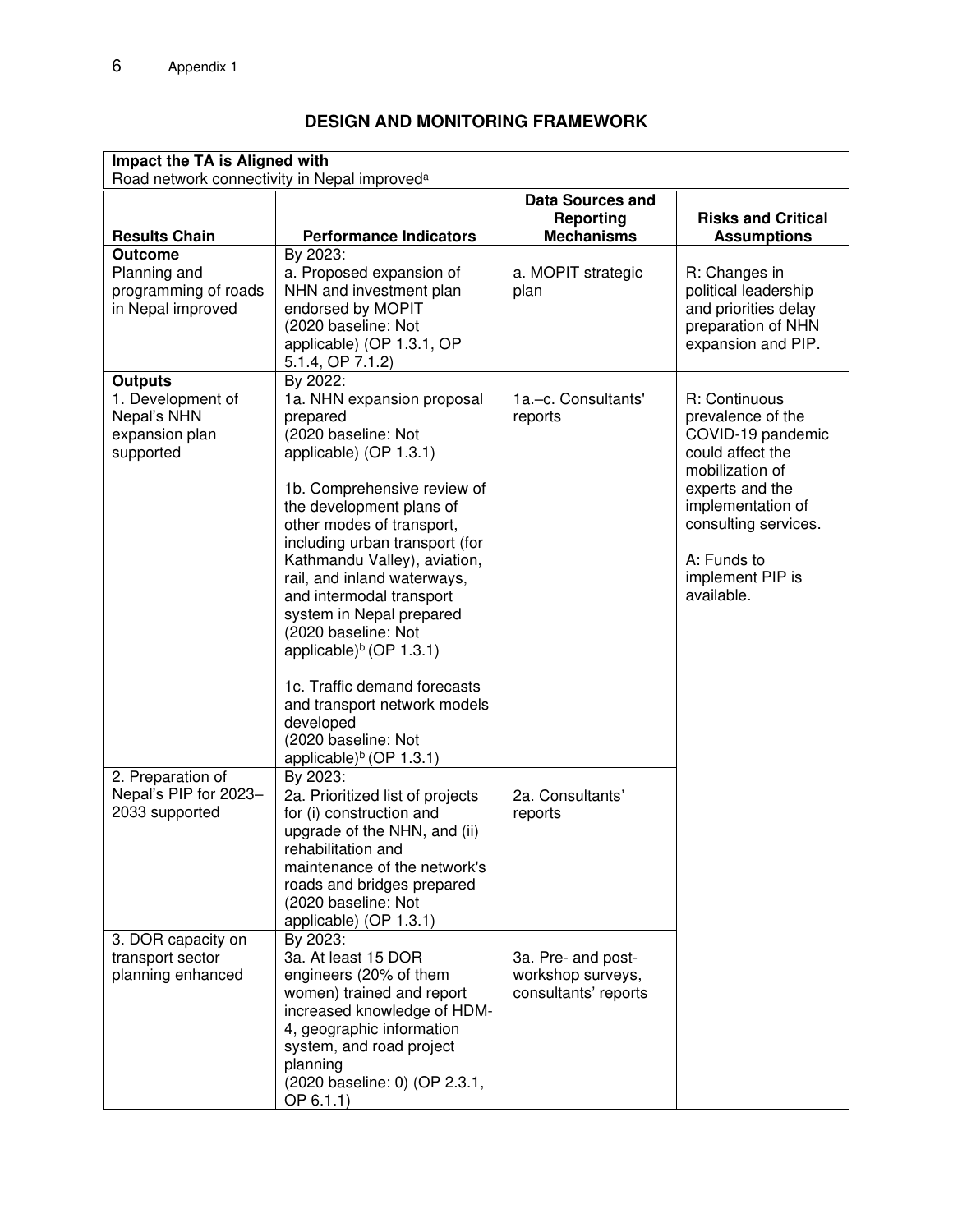# **DESIGN AND MONITORING FRAMEWORK**

| Impact the TA is Aligned with<br>Road network connectivity in Nepal improved <sup>a</sup> |                                                                                                                                                                                                                                                                                                                                                                                                                                                                                                                                                               |                                                                 |                                                                                                                                                                                                                 |
|-------------------------------------------------------------------------------------------|---------------------------------------------------------------------------------------------------------------------------------------------------------------------------------------------------------------------------------------------------------------------------------------------------------------------------------------------------------------------------------------------------------------------------------------------------------------------------------------------------------------------------------------------------------------|-----------------------------------------------------------------|-----------------------------------------------------------------------------------------------------------------------------------------------------------------------------------------------------------------|
| <b>Results Chain</b>                                                                      | <b>Performance Indicators</b>                                                                                                                                                                                                                                                                                                                                                                                                                                                                                                                                 | <b>Data Sources and</b><br>Reporting<br><b>Mechanisms</b>       | <b>Risks and Critical</b><br><b>Assumptions</b>                                                                                                                                                                 |
| <b>Outcome</b><br>Planning and<br>programming of roads<br>in Nepal improved               | By 2023:<br>a. Proposed expansion of<br>NHN and investment plan<br>endorsed by MOPIT<br>(2020 baseline: Not<br>applicable) (OP 1.3.1, OP<br>$5.1.4$ , OP $7.1.2$ )                                                                                                                                                                                                                                                                                                                                                                                            | a. MOPIT strategic<br>plan                                      | R: Changes in<br>political leadership<br>and priorities delay<br>preparation of NHN<br>expansion and PIP.                                                                                                       |
| <b>Outputs</b><br>1. Development of<br>Nepal's NHN<br>expansion plan<br>supported         | By 2022:<br>1a. NHN expansion proposal<br>prepared<br>(2020 baseline: Not<br>applicable) (OP 1.3.1)<br>1b. Comprehensive review of<br>the development plans of<br>other modes of transport,<br>including urban transport (for<br>Kathmandu Valley), aviation,<br>rail, and inland waterways,<br>and intermodal transport<br>system in Nepal prepared<br>(2020 baseline: Not<br>applicable) <sup>b</sup> (OP 1.3.1)<br>1c. Traffic demand forecasts<br>and transport network models<br>developed<br>(2020 baseline: Not<br>applicable) <sup>b</sup> (OP 1.3.1) | 1a.-c. Consultants'<br>reports                                  | R: Continuous<br>prevalence of the<br>COVID-19 pandemic<br>could affect the<br>mobilization of<br>experts and the<br>implementation of<br>consulting services.<br>A: Funds to<br>implement PIP is<br>available. |
| 2. Preparation of<br>Nepal's PIP for 2023-<br>2033 supported                              | By 2023:<br>2a. Prioritized list of projects<br>for (i) construction and<br>upgrade of the NHN, and (ii)<br>rehabilitation and<br>maintenance of the network's<br>roads and bridges prepared<br>(2020 baseline: Not<br>applicable) (OP 1.3.1)                                                                                                                                                                                                                                                                                                                 | 2a. Consultants'<br>reports                                     |                                                                                                                                                                                                                 |
| 3. DOR capacity on<br>transport sector<br>planning enhanced                               | By 2023:<br>3a. At least 15 DOR<br>engineers (20% of them<br>women) trained and report<br>increased knowledge of HDM-<br>4, geographic information<br>system, and road project<br>planning<br>(2020 baseline: 0) (OP 2.3.1,<br>OP 6.1.1)                                                                                                                                                                                                                                                                                                                      | 3a. Pre- and post-<br>workshop surveys,<br>consultants' reports |                                                                                                                                                                                                                 |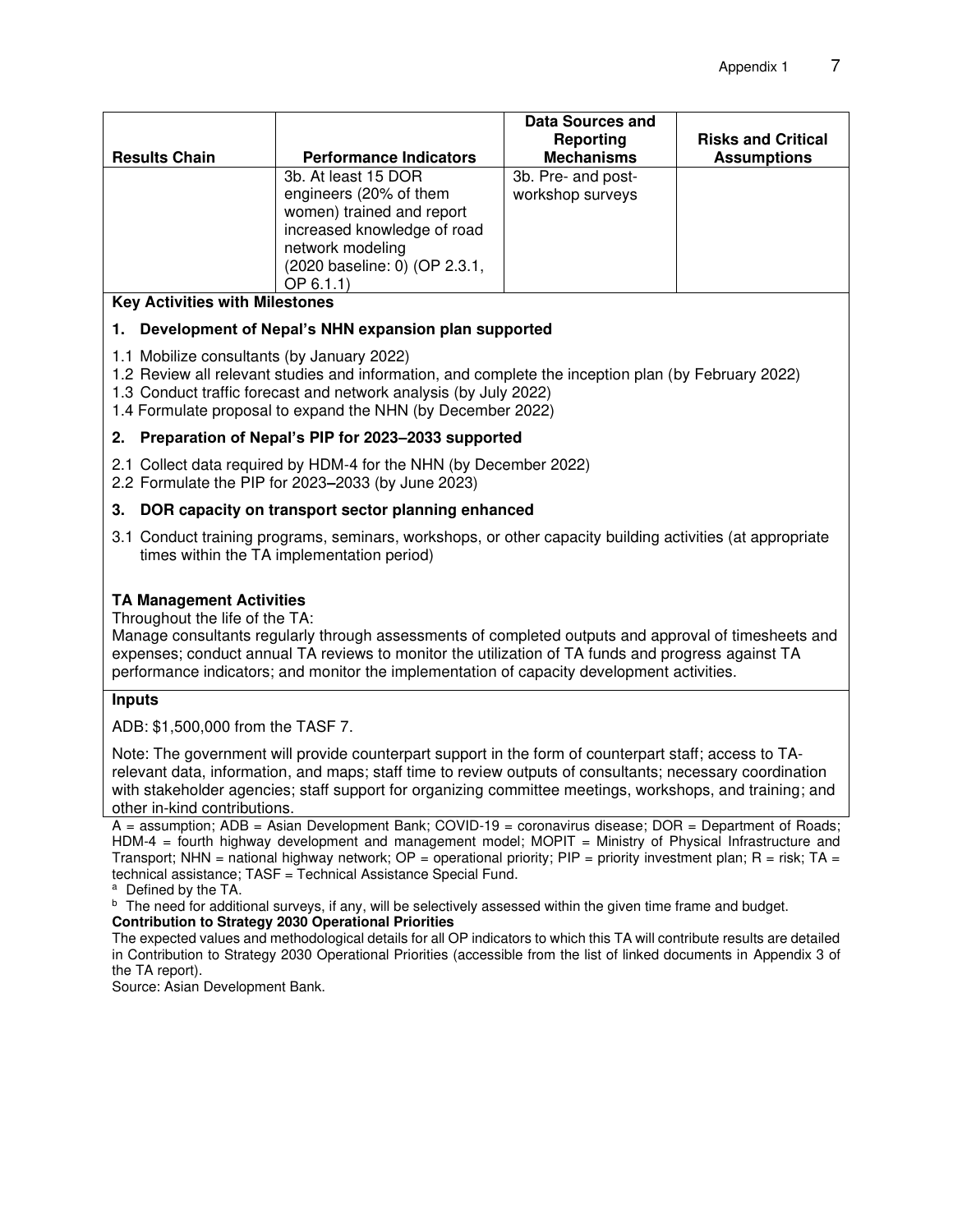| <b>Results Chain</b> | <b>Performance Indicators</b>                                                                                                                                               | Data Sources and<br>Reporting<br><b>Mechanisms</b> | <b>Risks and Critical</b><br><b>Assumptions</b> |
|----------------------|-----------------------------------------------------------------------------------------------------------------------------------------------------------------------------|----------------------------------------------------|-------------------------------------------------|
|                      | 3b. At least 15 DOR<br>engineers (20% of them<br>women) trained and report<br>increased knowledge of road<br>network modeling<br>(2020 baseline: 0) (OP 2.3.1,<br>OP 6.1.1) | 3b. Pre- and post-<br>workshop surveys             |                                                 |

#### **Key Activities with Milestones**

### **1. Development of Nepal's NHN expansion plan supported**

- 1.1 Mobilize consultants (by January 2022)
- 1.2 Review all relevant studies and information, and complete the inception plan (by February 2022)
- 1.3 Conduct traffic forecast and network analysis (by July 2022)
- 1.4 Formulate proposal to expand the NHN (by December 2022)

### **2. Preparation of Nepal's PIP for 2023–2033 supported**

- 2.1 Collect data required by HDM-4 for the NHN (by December 2022)
- 2.2 Formulate the PIP for 2023**–**2033 (by June 2023)

### **3. DOR capacity on transport sector planning enhanced**

3.1 Conduct training programs, seminars, workshops, or other capacity building activities (at appropriate times within the TA implementation period)

### **TA Management Activities**

Throughout the life of the TA:

Manage consultants regularly through assessments of completed outputs and approval of timesheets and expenses; conduct annual TA reviews to monitor the utilization of TA funds and progress against TA performance indicators; and monitor the implementation of capacity development activities.

#### **Inputs**

ADB: \$1,500,000 from the TASF 7.

Note: The government will provide counterpart support in the form of counterpart staff; access to TArelevant data, information, and maps; staff time to review outputs of consultants; necessary coordination with stakeholder agencies; staff support for organizing committee meetings, workshops, and training; and other in-kind contributions.

 $A =$  assumption; ADB = Asian Development Bank; COVID-19 = coronavirus disease; DOR = Department of Roads; HDM-4 = fourth highway development and management model; MOPIT = Ministry of Physical Infrastructure and Transport; NHN = national highway network; OP = operational priority; PIP = priority investment plan; R = risk; TA = technical assistance; TASF = Technical Assistance Special Fund.

<sup>a</sup> Defined by the TA.

b The need for additional surveys, if any, will be selectively assessed within the given time frame and budget.

#### **Contribution to Strategy 2030 Operational Priorities**

The expected values and methodological details for all OP indicators to which this TA will contribute results are detailed in Contribution to Strategy 2030 Operational Priorities (accessible from the list of linked documents in Appendix 3 of the TA report).

Source: Asian Development Bank.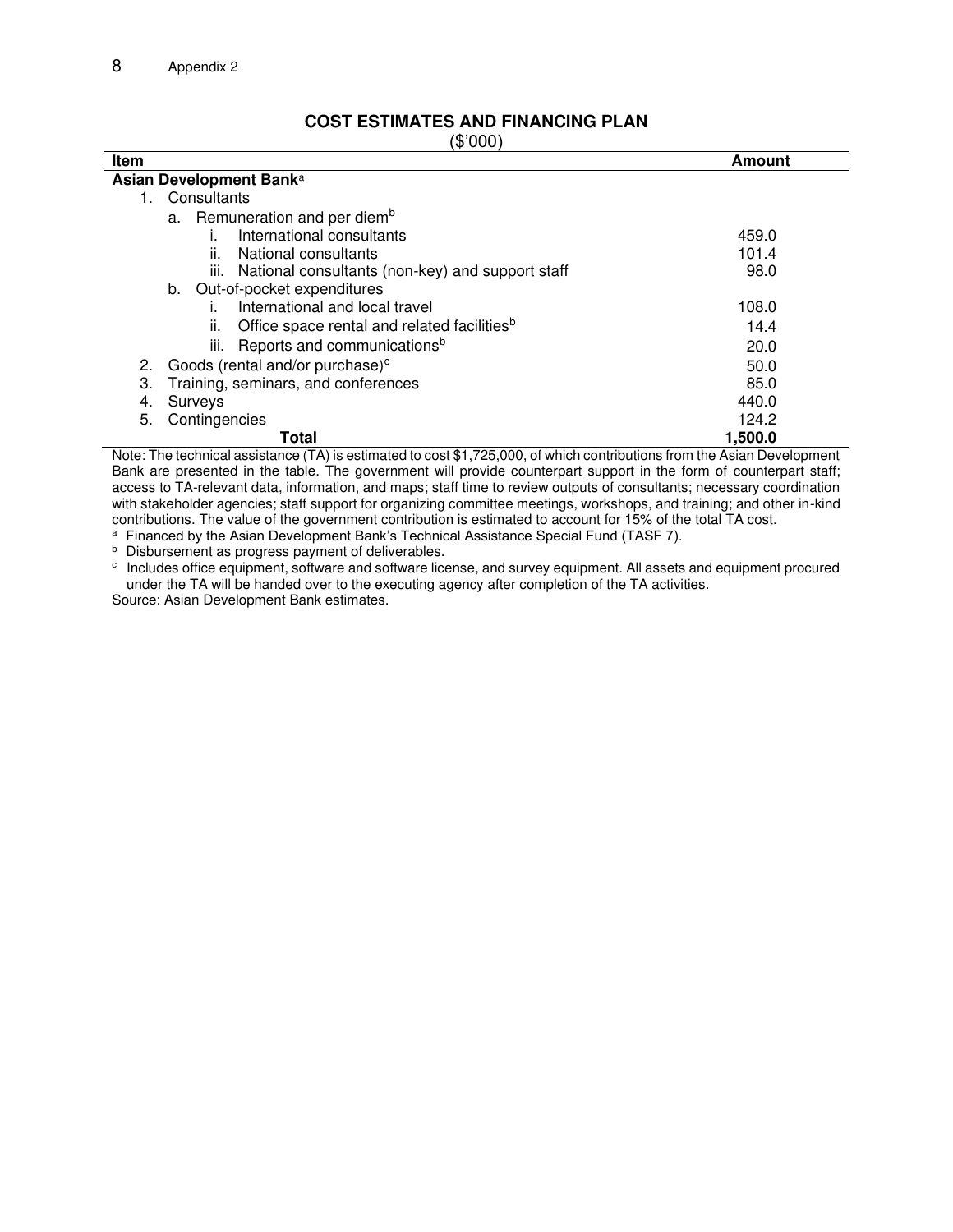# **COST ESTIMATES AND FINANCING PLAN**

(\$'000)

| Item                                                           | Amount  |
|----------------------------------------------------------------|---------|
| Asian Development Bank <sup>a</sup>                            |         |
| Consultants<br>1.                                              |         |
| a. Remuneration and per diem <sup>b</sup>                      |         |
| International consultants                                      | 459.0   |
| National consultants<br>ii.                                    | 101.4   |
| iii. National consultants (non-key) and support staff          | 98.0    |
| Out-of-pocket expenditures<br>b.                               |         |
| International and local travel                                 | 108.0   |
| Office space rental and related facilities <sup>b</sup><br>ii. | 14.4    |
| iii. Reports and communications <sup>b</sup>                   | 20.0    |
| Goods (rental and/or purchase) <sup>c</sup><br>2.              | 50.0    |
| Training, seminars, and conferences<br>3.                      | 85.0    |
| 4.<br>Surveys                                                  | 440.0   |
| 5.<br>Contingencies                                            | 124.2   |
| Total                                                          | 1,500.0 |

Note: The technical assistance (TA) is estimated to cost \$1,725,000, of which contributions from the Asian Development Bank are presented in the table. The government will provide counterpart support in the form of counterpart staff; access to TA-relevant data, information, and maps; staff time to review outputs of consultants; necessary coordination with stakeholder agencies; staff support for organizing committee meetings, workshops, and training; and other in-kind contributions. The value of the government contribution is estimated to account for 15% of the total TA cost.

a Financed by the Asian Development Bank's Technical Assistance Special Fund (TASF 7).

<sup>b</sup> Disbursement as progress payment of deliverables.

<sup>c</sup> Includes office equipment, software and software license, and survey equipment. All assets and equipment procured under the TA will be handed over to the executing agency after completion of the TA activities. Source: Asian Development Bank estimates.